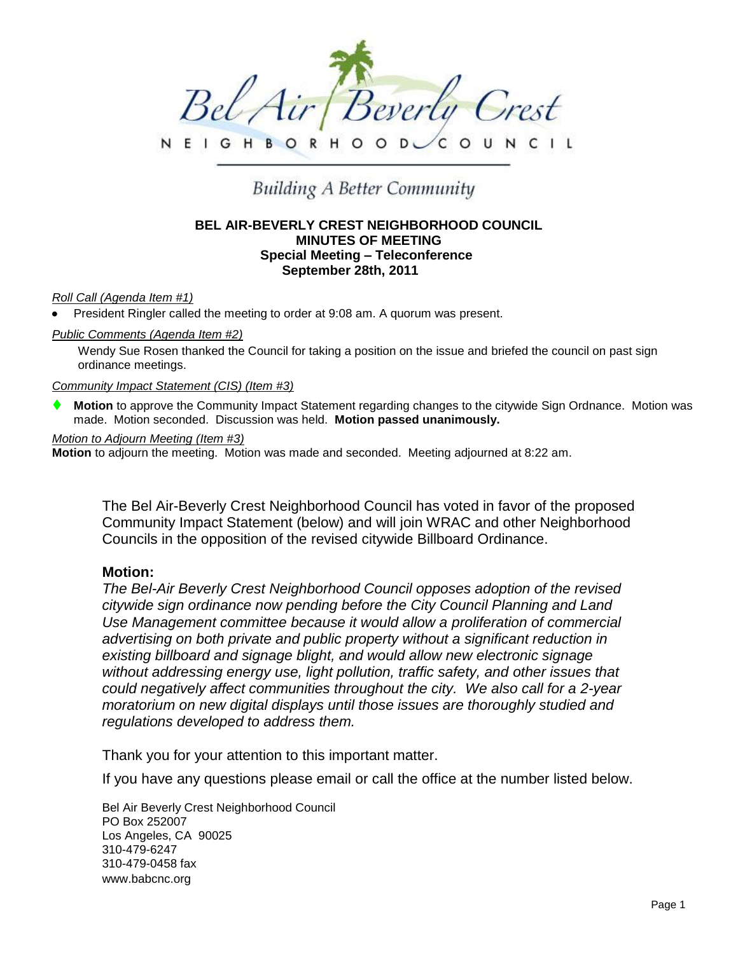

**GHBORHOO**  $D<sub>1</sub>$ 

# **Building A Better Community**

# **BEL AIR-BEVERLY CREST NEIGHBORHOOD COUNCIL MINUTES OF MEETING Special Meeting – Teleconference September 28th, 2011**

## *Roll Call (Agenda Item #1)*

President Ringler called the meeting to order at 9:08 am. A quorum was present.

## *Public Comments (Agenda Item #2)*

Wendy Sue Rosen thanked the Council for taking a position on the issue and briefed the council on past sign ordinance meetings.

#### *Community Impact Statement (CIS) (Item #3)*

 **Motion** to approve the Community Impact Statement regarding changes to the citywide Sign Ordnance. Motion was made. Motion seconded. Discussion was held. **Motion passed unanimously.** 

#### *Motion to Adjourn Meeting (Item #3)*

**Motion** to adjourn the meeting. Motion was made and seconded. Meeting adjourned at 8:22 am.

The Bel Air-Beverly Crest Neighborhood Council has voted in favor of the proposed Community Impact Statement (below) and will join WRAC and other Neighborhood Councils in the opposition of the revised citywide Billboard Ordinance.

## **Motion:**

*The Bel-Air Beverly Crest Neighborhood Council opposes adoption of the revised citywide sign ordinance now pending before the City Council Planning and Land Use Management committee because it would allow a proliferation of commercial advertising on both private and public property without a significant reduction in existing billboard and signage blight, and would allow new electronic signage without addressing energy use, light pollution, traffic safety, and other issues that could negatively affect communities throughout the city. We also call for a 2-year moratorium on new digital displays until those issues are thoroughly studied and regulations developed to address them.*

Thank you for your attention to this important matter.

If you have any questions please email or call the office at the number listed below.

Bel Air Beverly Crest Neighborhood Council PO Box 252007 Los Angeles, CA 90025 310-479-6247 310-479-0458 fax www.babcnc.org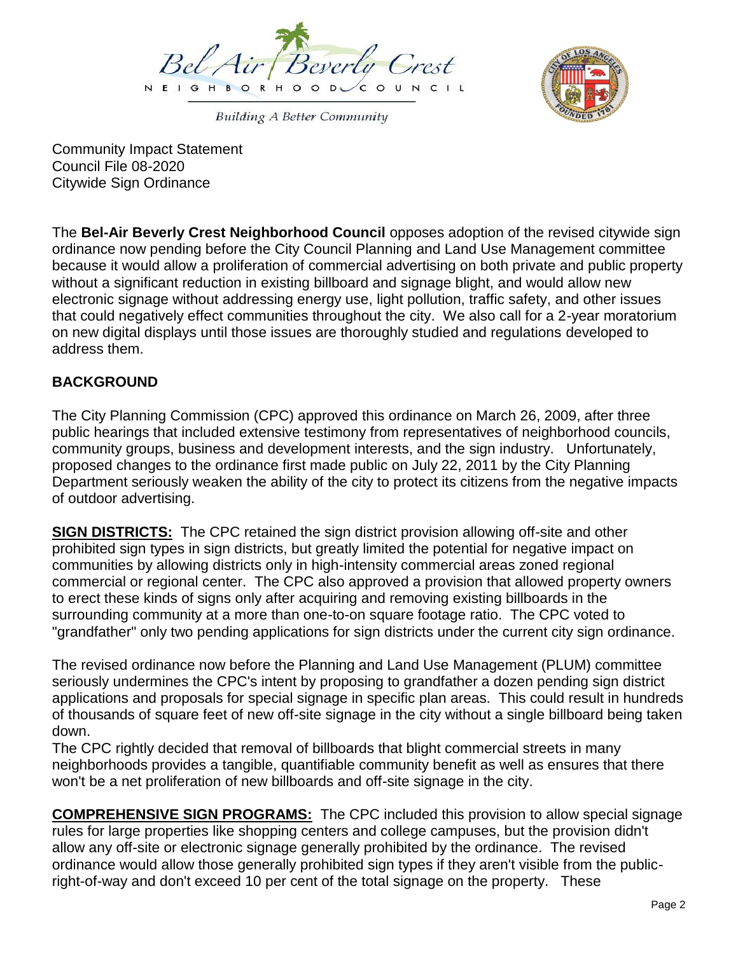

**Building A Better Community** 



Community Impact Statement Council File 08-2020 Citywide Sign Ordinance

The **Bel-Air Beverly Crest Neighborhood Council** opposes adoption of the revised citywide sign ordinance now pending before the City Council Planning and Land Use Management committee because it would allow a proliferation of commercial advertising on both private and public property without a significant reduction in existing billboard and signage blight, and would allow new electronic signage without addressing energy use, light pollution, traffic safety, and other issues that could negatively effect communities throughout the city. We also call for a 2-year moratorium on new digital displays until those issues are thoroughly studied and regulations developed to address them.

# **BACKGROUND**

The City Planning Commission (CPC) approved this ordinance on March 26, 2009, after three public hearings that included extensive testimony from representatives of neighborhood councils, community groups, business and development interests, and the sign industry. Unfortunately, proposed changes to the ordinance first made public on July 22, 2011 by the City Planning Department seriously weaken the ability of the city to protect its citizens from the negative impacts of outdoor advertising.

**SIGN DISTRICTS:** The CPC retained the sign district provision allowing off-site and other prohibited sign types in sign districts, but greatly limited the potential for negative impact on communities by allowing districts only in high-intensity commercial areas zoned regional commercial or regional center. The CPC also approved a provision that allowed property owners to erect these kinds of signs only after acquiring and removing existing billboards in the surrounding community at a more than one-to-on square footage ratio. The CPC voted to "grandfather" only two pending applications for sign districts under the current city sign ordinance.

The revised ordinance now before the Planning and Land Use Management (PLUM) committee seriously undermines the CPC's intent by proposing to grandfather a dozen pending sign district applications and proposals for special signage in specific plan areas. This could result in hundreds of thousands of square feet of new off-site signage in the city without a single billboard being taken down.

The CPC rightly decided that removal of billboards that blight commercial streets in many neighborhoods provides a tangible, quantifiable community benefit as well as ensures that there won't be a net proliferation of new billboards and off-site signage in the city.

**COMPREHENSIVE SIGN PROGRAMS:** The CPC included this provision to allow special signage rules for large properties like shopping centers and college campuses, but the provision didn't allow any off-site or electronic signage generally prohibited by the ordinance. The revised ordinance would allow those generally prohibited sign types if they aren't visible from the publicright-of-way and don't exceed 10 per cent of the total signage on the property. These